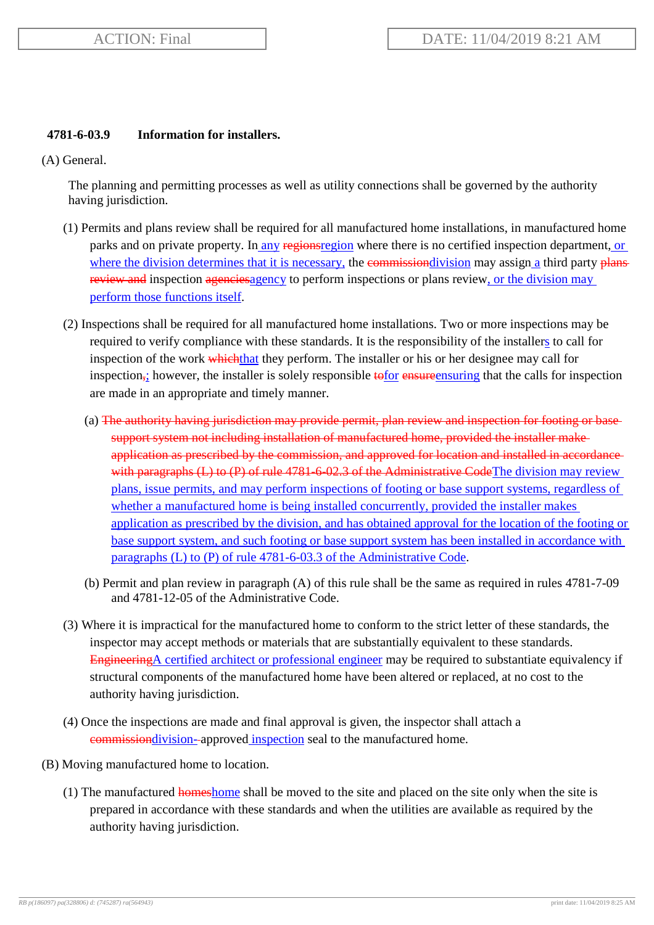## **4781-6-03.9 Information for installers.**

(A) General.

The planning and permitting processes as well as utility connections shall be governed by the authority having jurisdiction.

- (1) Permits and plans review shall be required for all manufactured home installations, in manufactured home parks and on private property. In any regionsregion where there is no certified inspection department, or where the division determines that it is necessary, the commissiondivision may assign a third party plans review and inspection agencies agency to perform inspections or plans review, or the division may perform those functions itself.
- (2) Inspections shall be required for all manufactured home installations. Two or more inspections may be required to verify compliance with these standards. It is the responsibility of the installers to call for inspection of the work which that they perform. The installer or his or her designee may call for inspection<sub>;</sub> however, the installer is solely responsible to tor ensure ensuring that the calls for inspection are made in an appropriate and timely manner.
	- (a) The authority having jurisdiction may provide permit, plan review and inspection for footing or base support system not including installation of manufactured home, provided the installer make application as prescribed by the commission, and approved for location and installed in accordance with paragraphs (L) to (P) of rule 4781-6-02.3 of the Administrative CodeThe division may review plans, issue permits, and may perform inspections of footing or base support systems, regardless of whether a manufactured home is being installed concurrently, provided the installer makes application as prescribed by the division, and has obtained approval for the location of the footing or base support system, and such footing or base support system has been installed in accordance with paragraphs (L) to (P) of rule 4781-6-03.3 of the Administrative Code.
	- (b) Permit and plan review in paragraph (A) of this rule shall be the same as required in rules 4781-7-09 and 4781-12-05 of the Administrative Code.
- (3) Where it is impractical for the manufactured home to conform to the strict letter of these standards, the inspector may accept methods or materials that are substantially equivalent to these standards. EngineeringA certified architect or professional engineer may be required to substantiate equivalency if structural components of the manufactured home have been altered or replaced, at no cost to the authority having jurisdiction.
- (4) Once the inspections are made and final approval is given, the inspector shall attach a commissiondivision- approved inspection seal to the manufactured home.
- (B) Moving manufactured home to location.
	- (1) The manufactured homeshome shall be moved to the site and placed on the site only when the site is prepared in accordance with these standards and when the utilities are available as required by the authority having jurisdiction.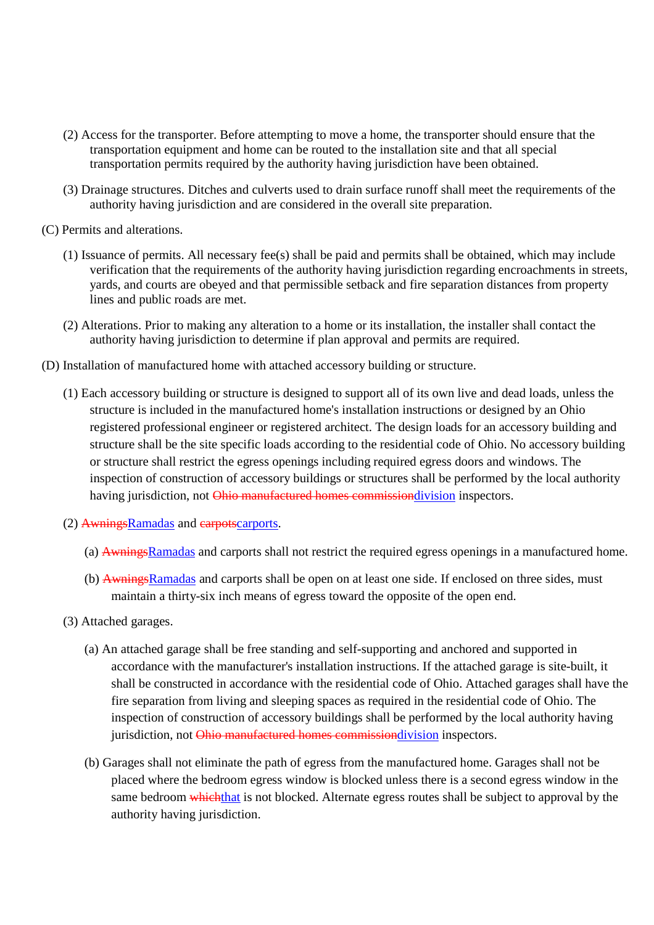- (2) Access for the transporter. Before attempting to move a home, the transporter should ensure that the transportation equipment and home can be routed to the installation site and that all special transportation permits required by the authority having jurisdiction have been obtained.
- (3) Drainage structures. Ditches and culverts used to drain surface runoff shall meet the requirements of the authority having jurisdiction and are considered in the overall site preparation.
- (C) Permits and alterations.
	- (1) Issuance of permits. All necessary fee(s) shall be paid and permits shall be obtained, which may include verification that the requirements of the authority having jurisdiction regarding encroachments in streets, yards, and courts are obeyed and that permissible setback and fire separation distances from property lines and public roads are met.
	- (2) Alterations. Prior to making any alteration to a home or its installation, the installer shall contact the authority having jurisdiction to determine if plan approval and permits are required.
- (D) Installation of manufactured home with attached accessory building or structure.
	- (1) Each accessory building or structure is designed to support all of its own live and dead loads, unless the structure is included in the manufactured home's installation instructions or designed by an Ohio registered professional engineer or registered architect. The design loads for an accessory building and structure shall be the site specific loads according to the residential code of Ohio. No accessory building or structure shall restrict the egress openings including required egress doors and windows. The inspection of construction of accessory buildings or structures shall be performed by the local authority having jurisdiction, not Ohio manufactured homes commissiondivision inspectors.
	- (2) AwningsRamadas and earpotscarports.
		- (a) AwningsRamadas and carports shall not restrict the required egress openings in a manufactured home.
		- (b) AwningsRamadas and carports shall be open on at least one side. If enclosed on three sides, must maintain a thirty-six inch means of egress toward the opposite of the open end.
	- (3) Attached garages.
		- (a) An attached garage shall be free standing and self-supporting and anchored and supported in accordance with the manufacturer's installation instructions. If the attached garage is site-built, it shall be constructed in accordance with the residential code of Ohio. Attached garages shall have the fire separation from living and sleeping spaces as required in the residential code of Ohio. The inspection of construction of accessory buildings shall be performed by the local authority having jurisdiction, not Ohio manufactured homes commissiondivision inspectors.
		- (b) Garages shall not eliminate the path of egress from the manufactured home. Garages shall not be placed where the bedroom egress window is blocked unless there is a second egress window in the same bedroom whichthat is not blocked. Alternate egress routes shall be subject to approval by the authority having jurisdiction.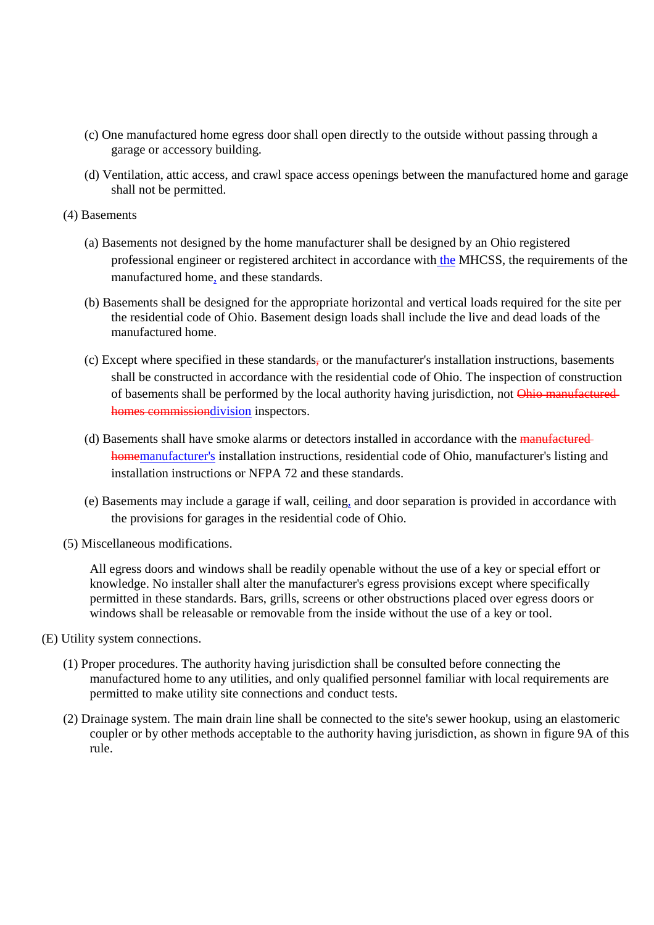- (c) One manufactured home egress door shall open directly to the outside without passing through a garage or accessory building.
- (d) Ventilation, attic access, and crawl space access openings between the manufactured home and garage shall not be permitted.
- (4) Basements
	- (a) Basements not designed by the home manufacturer shall be designed by an Ohio registered professional engineer or registered architect in accordance with the MHCSS, the requirements of the manufactured home, and these standards.
	- (b) Basements shall be designed for the appropriate horizontal and vertical loads required for the site per the residential code of Ohio. Basement design loads shall include the live and dead loads of the manufactured home.
	- $(c)$  Except where specified in these standards, or the manufacturer's installation instructions, basements shall be constructed in accordance with the residential code of Ohio. The inspection of construction of basements shall be performed by the local authority having jurisdiction, not Ohio manufactured homes commissiondivision inspectors.
	- (d) Basements shall have smoke alarms or detectors installed in accordance with the manufactured homemanufacturer's installation instructions, residential code of Ohio, manufacturer's listing and installation instructions or NFPA 72 and these standards.
	- (e) Basements may include a garage if wall, ceiling, and door separation is provided in accordance with the provisions for garages in the residential code of Ohio.
- (5) Miscellaneous modifications.

All egress doors and windows shall be readily openable without the use of a key or special effort or knowledge. No installer shall alter the manufacturer's egress provisions except where specifically permitted in these standards. Bars, grills, screens or other obstructions placed over egress doors or windows shall be releasable or removable from the inside without the use of a key or tool.

- (E) Utility system connections.
	- (1) Proper procedures. The authority having jurisdiction shall be consulted before connecting the manufactured home to any utilities, and only qualified personnel familiar with local requirements are permitted to make utility site connections and conduct tests.
	- (2) Drainage system. The main drain line shall be connected to the site's sewer hookup, using an elastomeric coupler or by other methods acceptable to the authority having jurisdiction, as shown in figure 9A of this rule.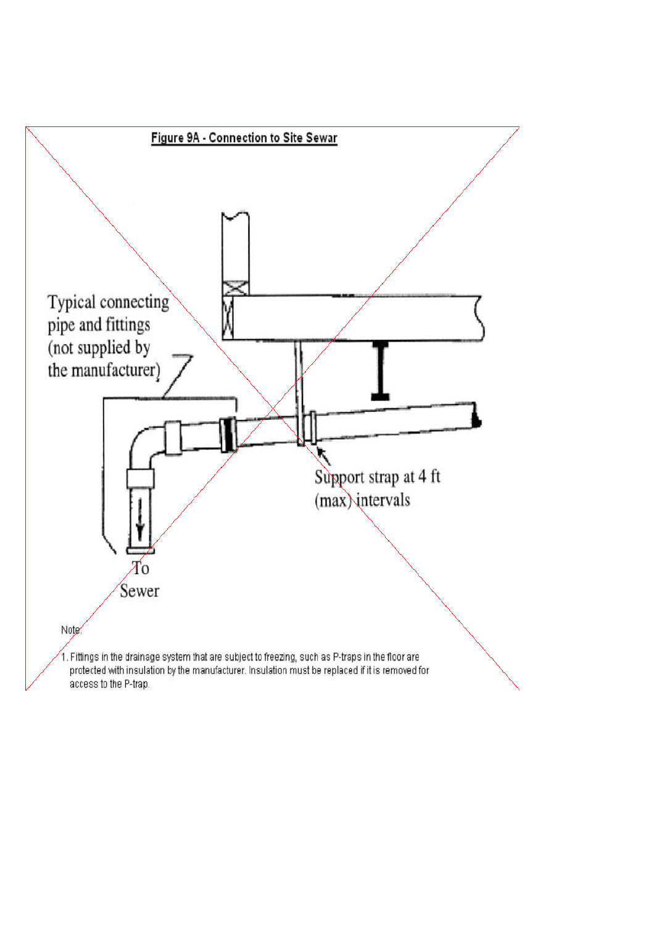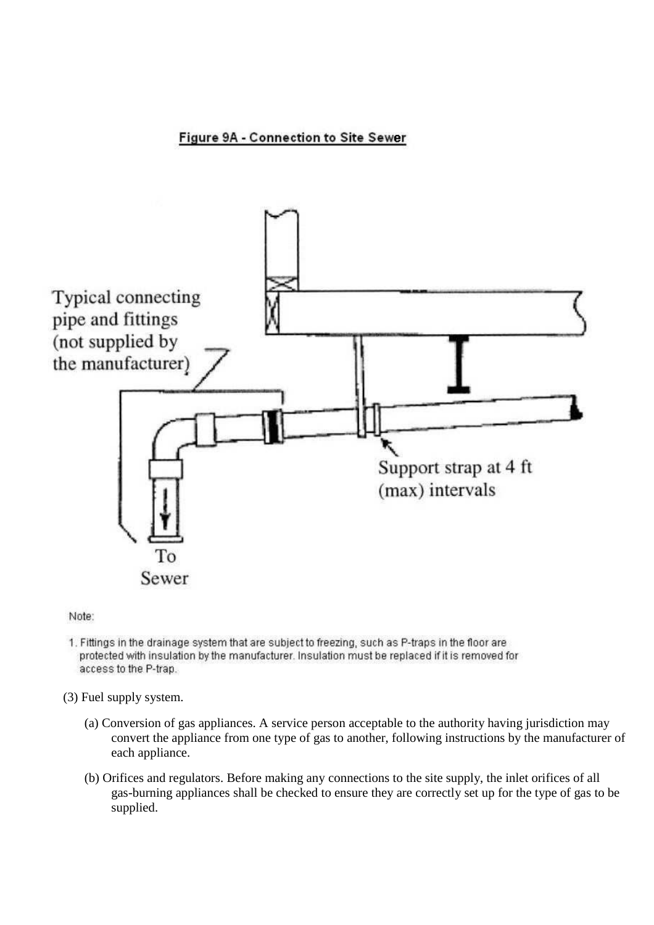Figure 9A - Connection to Site Sewer



Note:

- 1. Fittings in the drainage system that are subject to freezing, such as P-traps in the floor are protected with insulation by the manufacturer. Insulation must be replaced if it is removed for access to the P-trap.
- (3) Fuel supply system.
	- (a) Conversion of gas appliances. A service person acceptable to the authority having jurisdiction may convert the appliance from one type of gas to another, following instructions by the manufacturer of each appliance.
	- (b) Orifices and regulators. Before making any connections to the site supply, the inlet orifices of all gas-burning appliances shall be checked to ensure they are correctly set up for the type of gas to be supplied.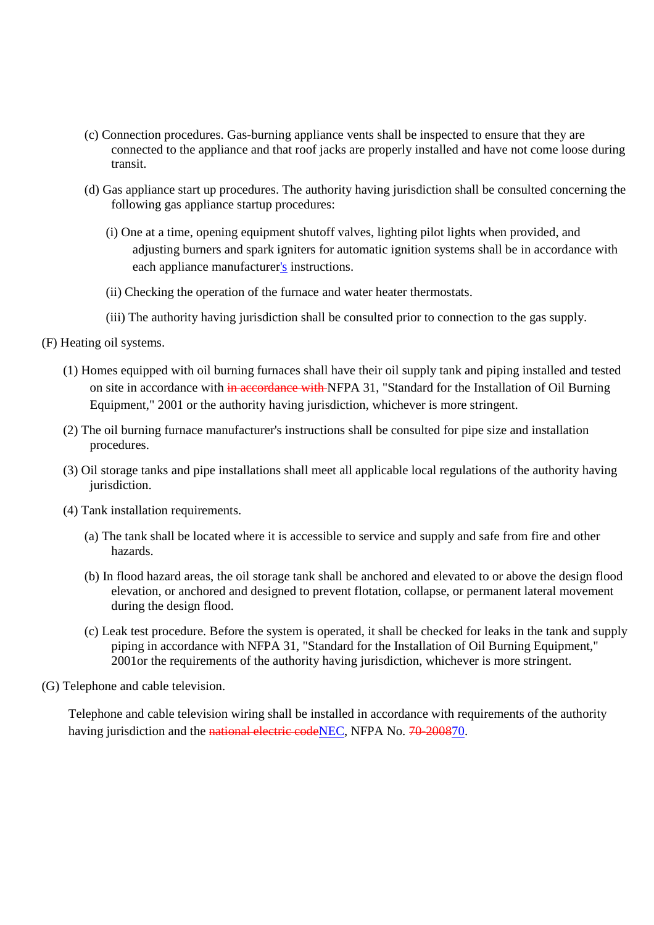- (c) Connection procedures. Gas-burning appliance vents shall be inspected to ensure that they are connected to the appliance and that roof jacks are properly installed and have not come loose during transit.
- (d) Gas appliance start up procedures. The authority having jurisdiction shall be consulted concerning the following gas appliance startup procedures:
	- (i) One at a time, opening equipment shutoff valves, lighting pilot lights when provided, and adjusting burners and spark igniters for automatic ignition systems shall be in accordance with each appliance manufacturer's instructions.
	- (ii) Checking the operation of the furnace and water heater thermostats.
	- (iii) The authority having jurisdiction shall be consulted prior to connection to the gas supply.
- (F) Heating oil systems.
	- (1) Homes equipped with oil burning furnaces shall have their oil supply tank and piping installed and tested on site in accordance with in accordance with NFPA 31, "Standard for the Installation of Oil Burning Equipment," 2001 or the authority having jurisdiction, whichever is more stringent.
	- (2) The oil burning furnace manufacturer's instructions shall be consulted for pipe size and installation procedures.
	- (3) Oil storage tanks and pipe installations shall meet all applicable local regulations of the authority having jurisdiction.
	- (4) Tank installation requirements.
		- (a) The tank shall be located where it is accessible to service and supply and safe from fire and other hazards.
		- (b) In flood hazard areas, the oil storage tank shall be anchored and elevated to or above the design flood elevation, or anchored and designed to prevent flotation, collapse, or permanent lateral movement during the design flood.
		- (c) Leak test procedure. Before the system is operated, it shall be checked for leaks in the tank and supply piping in accordance with NFPA 31, "Standard for the Installation of Oil Burning Equipment," 2001or the requirements of the authority having jurisdiction, whichever is more stringent.
- (G) Telephone and cable television.

Telephone and cable television wiring shall be installed in accordance with requirements of the authority having jurisdiction and the national electric codeNEC, NFPA No. 70-200870.